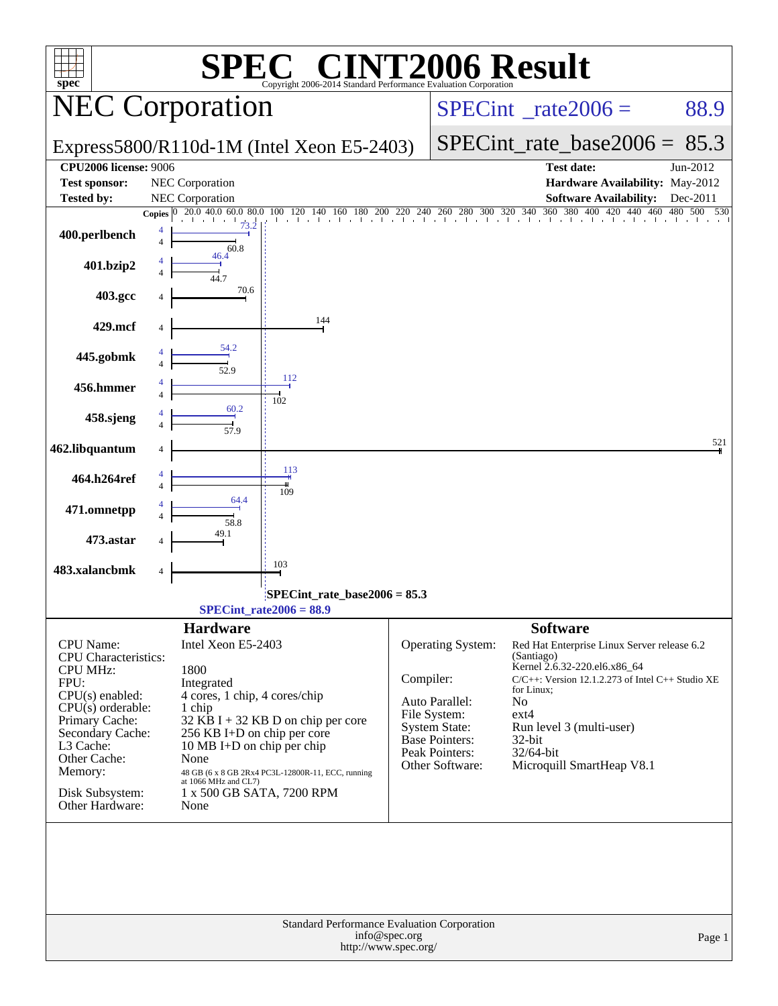| <b>VT2006 Result</b><br>$\bigcap_{\mathbb{R}}$<br>$spec^*$<br>Copyright 2006-2014 Standard Performance Evaluation Corporation |              |                                    |                                                                           |                                       |                                        |                                                                     |             |  |  |  |
|-------------------------------------------------------------------------------------------------------------------------------|--------------|------------------------------------|---------------------------------------------------------------------------|---------------------------------------|----------------------------------------|---------------------------------------------------------------------|-------------|--|--|--|
|                                                                                                                               |              | <b>NEC Corporation</b>             |                                                                           |                                       | $SPECint^{\circ}$ rate $2006 =$        | 88.9                                                                |             |  |  |  |
|                                                                                                                               |              |                                    | Express5800/R110d-1M (Intel Xeon E5-2403)                                 |                                       | $SPECint_rate_base2006 = 85.3$         |                                                                     |             |  |  |  |
| <b>CPU2006 license: 9006</b><br><b>Test sponsor:</b>                                                                          |              | NEC Corporation                    |                                                                           |                                       |                                        | <b>Test date:</b><br>Hardware Availability: May-2012                | Jun-2012    |  |  |  |
| <b>Tested by:</b>                                                                                                             |              | NEC Corporation                    |                                                                           |                                       |                                        | <b>Software Availability:</b>                                       | Dec-2011    |  |  |  |
|                                                                                                                               | Copies $ 0 $ | 20.0 40.0 60.0 80.0                | 100                                                                       |                                       |                                        |                                                                     | 480 500 530 |  |  |  |
| 400.perlbench                                                                                                                 |              | 60.8                               |                                                                           |                                       |                                        |                                                                     |             |  |  |  |
| 401.bzip2                                                                                                                     |              | 46.4                               |                                                                           |                                       |                                        |                                                                     |             |  |  |  |
| 403.gcc                                                                                                                       |              | 70.6                               |                                                                           |                                       |                                        |                                                                     |             |  |  |  |
| 429.mcf                                                                                                                       |              |                                    | 144                                                                       |                                       |                                        |                                                                     |             |  |  |  |
| 445.gobmk                                                                                                                     |              | 52.9                               |                                                                           |                                       |                                        |                                                                     |             |  |  |  |
| 456.hmmer                                                                                                                     |              |                                    | 112<br>102                                                                |                                       |                                        |                                                                     |             |  |  |  |
| 458.sjeng                                                                                                                     |              | 60.2                               |                                                                           |                                       |                                        |                                                                     |             |  |  |  |
| 462.libquantum                                                                                                                |              |                                    |                                                                           |                                       |                                        |                                                                     | 521         |  |  |  |
| 464.h264ref                                                                                                                   |              | 64.4                               | 113<br>109                                                                |                                       |                                        |                                                                     |             |  |  |  |
| 471.omnetpp                                                                                                                   |              | 58.8                               |                                                                           |                                       |                                        |                                                                     |             |  |  |  |
| 473.astar                                                                                                                     |              |                                    |                                                                           |                                       |                                        |                                                                     |             |  |  |  |
| 483.xalancbmk                                                                                                                 |              |                                    | 103                                                                       |                                       |                                        |                                                                     |             |  |  |  |
|                                                                                                                               |              |                                    | SPECint_rate_base2006 = 85.3<br>$SPECTnt_rate2006 = 88.9$                 |                                       |                                        |                                                                     |             |  |  |  |
|                                                                                                                               |              | <b>Hardware</b>                    |                                                                           |                                       |                                        | <b>Software</b>                                                     |             |  |  |  |
| CPU Name:                                                                                                                     |              | Intel Xeon E5-2403                 |                                                                           |                                       | Operating System:                      | Red Hat Enterprise Linux Server release 6.2                         |             |  |  |  |
| CPU Characteristics:<br><b>CPU MHz:</b>                                                                                       |              | 1800                               |                                                                           |                                       |                                        | (Santiago)<br>Kernel 2.6.32-220.el6.x86_64                          |             |  |  |  |
| FPU:                                                                                                                          |              | Integrated                         |                                                                           | Compiler:                             |                                        | $C/C++$ : Version 12.1.2.273 of Intel $C++$ Studio XE<br>for Linux; |             |  |  |  |
| CPU(s) enabled:                                                                                                               |              | 4 cores, 1 chip, 4 cores/chip      |                                                                           |                                       | Auto Parallel:                         | No                                                                  |             |  |  |  |
| $CPU(s)$ orderable:<br>Primary Cache:                                                                                         |              | 1 chip                             | 32 KB I + 32 KB D on chip per core                                        |                                       | File System:                           | ext4                                                                |             |  |  |  |
| Secondary Cache:                                                                                                              |              | 256 KB I+D on chip per core        |                                                                           |                                       | <b>System State:</b><br>Base Pointers: | Run level 3 (multi-user)<br>$32$ -bit                               |             |  |  |  |
| L3 Cache:<br>Other Cache:                                                                                                     |              | 10 MB I+D on chip per chip<br>None |                                                                           |                                       | Peak Pointers:                         | 32/64-bit                                                           |             |  |  |  |
| Memory:                                                                                                                       |              |                                    | 48 GB (6 x 8 GB 2Rx4 PC3L-12800R-11, ECC, running<br>at 1066 MHz and CL7) |                                       | Other Software:                        | Microquill SmartHeap V8.1                                           |             |  |  |  |
| Disk Subsystem:<br>Other Hardware:                                                                                            |              | 1 x 500 GB SATA, 7200 RPM<br>None  |                                                                           |                                       |                                        |                                                                     |             |  |  |  |
|                                                                                                                               |              |                                    |                                                                           |                                       |                                        |                                                                     |             |  |  |  |
|                                                                                                                               |              |                                    | Standard Performance Evaluation Corporation                               | info@spec.org<br>http://www.spec.org/ |                                        |                                                                     | Page 1      |  |  |  |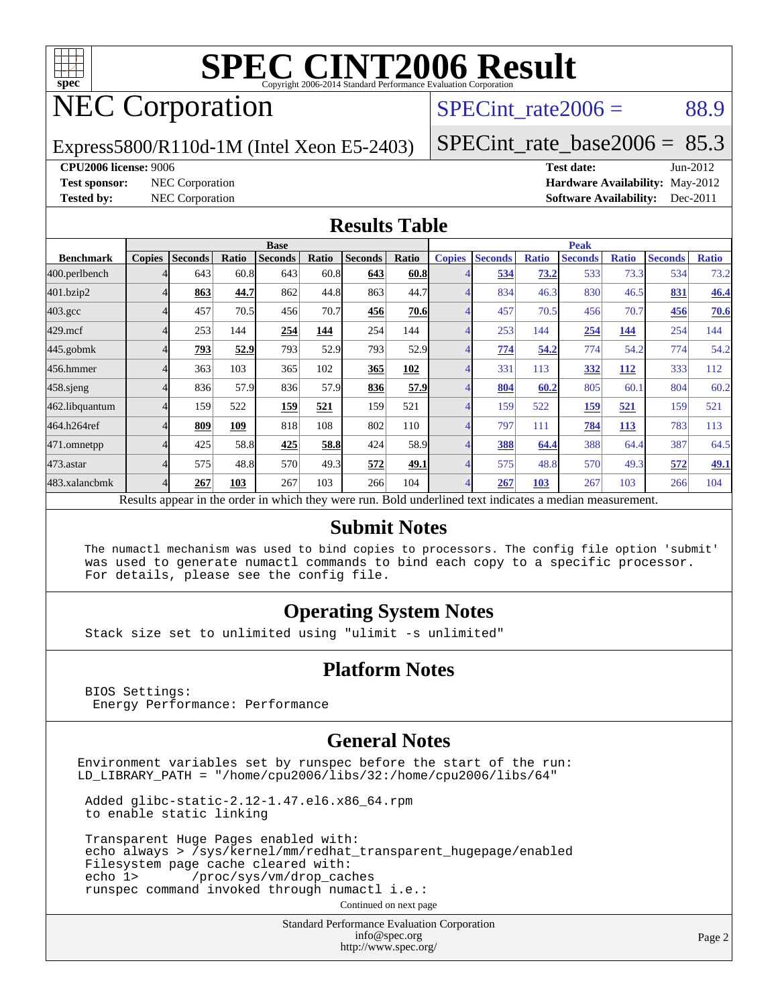

# NEC Corporation

SPECint rate $2006 = 88.9$ 

Express5800/R110d-1M (Intel Xeon E5-2403)

[SPECint\\_rate\\_base2006 =](http://www.spec.org/auto/cpu2006/Docs/result-fields.html#SPECintratebase2006) 85.3

**[CPU2006 license:](http://www.spec.org/auto/cpu2006/Docs/result-fields.html#CPU2006license)** 9006 **[Test date:](http://www.spec.org/auto/cpu2006/Docs/result-fields.html#Testdate)** Jun-2012 **[Test sponsor:](http://www.spec.org/auto/cpu2006/Docs/result-fields.html#Testsponsor)** NEC Corporation **[Hardware Availability:](http://www.spec.org/auto/cpu2006/Docs/result-fields.html#HardwareAvailability)** May-2012 **[Tested by:](http://www.spec.org/auto/cpu2006/Docs/result-fields.html#Testedby)** NEC Corporation **[Software Availability:](http://www.spec.org/auto/cpu2006/Docs/result-fields.html#SoftwareAvailability)** Dec-2011

#### **[Results Table](http://www.spec.org/auto/cpu2006/Docs/result-fields.html#ResultsTable)**

|                                                                                                          | <b>Base</b>   |                |       |                |       |                |       | <b>Peak</b>   |                |              |                |              |                |              |
|----------------------------------------------------------------------------------------------------------|---------------|----------------|-------|----------------|-------|----------------|-------|---------------|----------------|--------------|----------------|--------------|----------------|--------------|
| <b>Benchmark</b>                                                                                         | <b>Copies</b> | <b>Seconds</b> | Ratio | <b>Seconds</b> | Ratio | <b>Seconds</b> | Ratio | <b>Copies</b> | <b>Seconds</b> | <b>Ratio</b> | <b>Seconds</b> | <b>Ratio</b> | <b>Seconds</b> | <b>Ratio</b> |
| 400.perlbench                                                                                            |               | 643            | 60.8  | 643            | 60.8  | 643            | 60.8  |               | 534            | 73.2         | 533            | 73.3         | 534            | 73.2         |
| 401.bzip2                                                                                                |               | 863            | 44.7  | 862            | 44.8  | 863            | 44.7  |               | 834            | 46.3         | 830            | 46.5         | 831            | 46.4         |
| $403.\mathrm{gcc}$                                                                                       |               | 457            | 70.5  | 456            | 70.7  | 456            | 70.6  |               | 457            | 70.5         | 456            | 70.7         | 456            | 70.6         |
| $429$ .mcf                                                                                               |               | 253            | 144   | 254            | 144   | 254            | 144   |               | 253            | 144          | 254            | 144          | 254            | 144          |
| $445$ .gobmk                                                                                             |               | 793            | 52.9  | 793            | 52.9  | 793            | 52.9  |               | 774            | 54.2         | 774            | 54.2         | 774            | 54.2         |
| 456.hmmer                                                                                                |               | 363            | 103   | 365            | 102   | 365            | 102   |               | 331            | 113          | 332            | 112          | 333            | 112          |
| $458$ .sjeng                                                                                             |               | 836            | 57.9  | 836            | 57.9  | 836            | 57.9  |               | 804            | 60.2         | 805            | 60.1         | 804            | 60.2         |
| 462.libquantum                                                                                           |               | 159            | 522   | 159            | 521   | 159            | 521   |               | 159            | 522          | 159            | 521          | 159            | 521          |
| 464.h264ref                                                                                              |               | 809            | 109   | 818            | 108   | 802            | 110   |               | 797            | 111          | 784            | <b>113</b>   | 783            | 113          |
| 471.omnetpp                                                                                              |               | 425            | 58.8  | 425            | 58.8  | 424            | 58.9  |               | 388            | 64.4         | 388            | 64.4         | 387            | 64.5         |
| 473.astar                                                                                                |               | 575            | 48.8  | 570            | 49.3  | 572            | 49.1  |               | 575            | 48.8         | 570            | 49.3         | 572            | <u>49.1</u>  |
| 483.xalancbmk                                                                                            |               | 267            | 103   | 267            | 103   | 266            | 104   |               | 267            | 103          | 267            | 103          | 266            | 104          |
| Results appear in the order in which they were run. Bold underlined text indicates a median measurement. |               |                |       |                |       |                |       |               |                |              |                |              |                |              |

#### **[Submit Notes](http://www.spec.org/auto/cpu2006/Docs/result-fields.html#SubmitNotes)**

 The numactl mechanism was used to bind copies to processors. The config file option 'submit' was used to generate numactl commands to bind each copy to a specific processor. For details, please see the config file.

#### **[Operating System Notes](http://www.spec.org/auto/cpu2006/Docs/result-fields.html#OperatingSystemNotes)**

Stack size set to unlimited using "ulimit -s unlimited"

#### **[Platform Notes](http://www.spec.org/auto/cpu2006/Docs/result-fields.html#PlatformNotes)**

 BIOS Settings: Energy Performance: Performance

#### **[General Notes](http://www.spec.org/auto/cpu2006/Docs/result-fields.html#GeneralNotes)**

Environment variables set by runspec before the start of the run: LD\_LIBRARY\_PATH = "/home/cpu2006/libs/32:/home/cpu2006/libs/64"

 Added glibc-static-2.12-1.47.el6.x86\_64.rpm to enable static linking

 Transparent Huge Pages enabled with: echo always > /sys/kernel/mm/redhat\_transparent\_hugepage/enabled Filesystem page cache cleared with: echo 1> /proc/sys/vm/drop\_caches runspec command invoked through numactl i.e.:

Continued on next page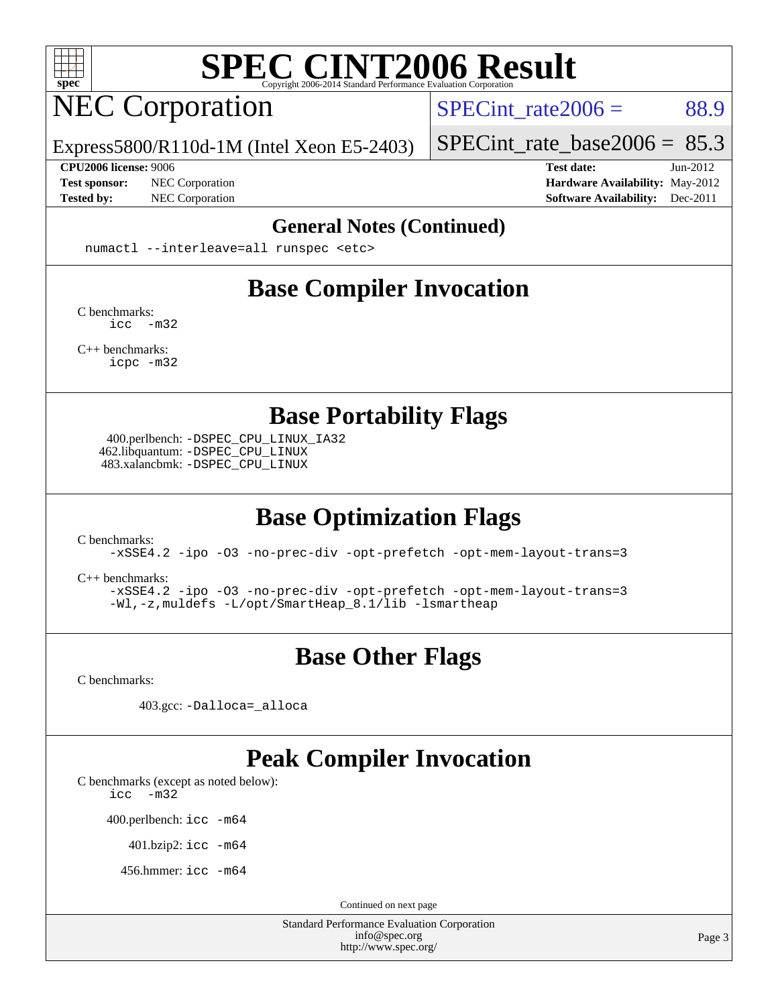

# NEC Corporation

SPECint rate $2006 = 88.9$ 

Express5800/R110d-1M (Intel Xeon E5-2403)

**[CPU2006 license:](http://www.spec.org/auto/cpu2006/Docs/result-fields.html#CPU2006license)** 9006 **[Test date:](http://www.spec.org/auto/cpu2006/Docs/result-fields.html#Testdate)** Jun-2012

[SPECint\\_rate\\_base2006 =](http://www.spec.org/auto/cpu2006/Docs/result-fields.html#SPECintratebase2006) 85.3

**[Test sponsor:](http://www.spec.org/auto/cpu2006/Docs/result-fields.html#Testsponsor)** NEC Corporation **[Hardware Availability:](http://www.spec.org/auto/cpu2006/Docs/result-fields.html#HardwareAvailability)** May-2012 **[Tested by:](http://www.spec.org/auto/cpu2006/Docs/result-fields.html#Testedby)** NEC Corporation **[Software Availability:](http://www.spec.org/auto/cpu2006/Docs/result-fields.html#SoftwareAvailability)** Dec-2011

#### **[General Notes \(Continued\)](http://www.spec.org/auto/cpu2006/Docs/result-fields.html#GeneralNotes)**

numactl --interleave=all runspec <etc>

### **[Base Compiler Invocation](http://www.spec.org/auto/cpu2006/Docs/result-fields.html#BaseCompilerInvocation)**

[C benchmarks](http://www.spec.org/auto/cpu2006/Docs/result-fields.html#Cbenchmarks): [icc -m32](http://www.spec.org/cpu2006/results/res2012q3/cpu2006-20120701-23287.flags.html#user_CCbase_intel_icc_5ff4a39e364c98233615fdd38438c6f2)

[C++ benchmarks:](http://www.spec.org/auto/cpu2006/Docs/result-fields.html#CXXbenchmarks) [icpc -m32](http://www.spec.org/cpu2006/results/res2012q3/cpu2006-20120701-23287.flags.html#user_CXXbase_intel_icpc_4e5a5ef1a53fd332b3c49e69c3330699)

**[Base Portability Flags](http://www.spec.org/auto/cpu2006/Docs/result-fields.html#BasePortabilityFlags)**

 400.perlbench: [-DSPEC\\_CPU\\_LINUX\\_IA32](http://www.spec.org/cpu2006/results/res2012q3/cpu2006-20120701-23287.flags.html#b400.perlbench_baseCPORTABILITY_DSPEC_CPU_LINUX_IA32) 462.libquantum: [-DSPEC\\_CPU\\_LINUX](http://www.spec.org/cpu2006/results/res2012q3/cpu2006-20120701-23287.flags.html#b462.libquantum_baseCPORTABILITY_DSPEC_CPU_LINUX) 483.xalancbmk: [-DSPEC\\_CPU\\_LINUX](http://www.spec.org/cpu2006/results/res2012q3/cpu2006-20120701-23287.flags.html#b483.xalancbmk_baseCXXPORTABILITY_DSPEC_CPU_LINUX)

### **[Base Optimization Flags](http://www.spec.org/auto/cpu2006/Docs/result-fields.html#BaseOptimizationFlags)**

[C benchmarks](http://www.spec.org/auto/cpu2006/Docs/result-fields.html#Cbenchmarks):

[-xSSE4.2](http://www.spec.org/cpu2006/results/res2012q3/cpu2006-20120701-23287.flags.html#user_CCbase_f-xSSE42_f91528193cf0b216347adb8b939d4107) [-ipo](http://www.spec.org/cpu2006/results/res2012q3/cpu2006-20120701-23287.flags.html#user_CCbase_f-ipo) [-O3](http://www.spec.org/cpu2006/results/res2012q3/cpu2006-20120701-23287.flags.html#user_CCbase_f-O3) [-no-prec-div](http://www.spec.org/cpu2006/results/res2012q3/cpu2006-20120701-23287.flags.html#user_CCbase_f-no-prec-div) [-opt-prefetch](http://www.spec.org/cpu2006/results/res2012q3/cpu2006-20120701-23287.flags.html#user_CCbase_f-opt-prefetch) [-opt-mem-layout-trans=3](http://www.spec.org/cpu2006/results/res2012q3/cpu2006-20120701-23287.flags.html#user_CCbase_f-opt-mem-layout-trans_a7b82ad4bd7abf52556d4961a2ae94d5)

[C++ benchmarks:](http://www.spec.org/auto/cpu2006/Docs/result-fields.html#CXXbenchmarks)

[-xSSE4.2](http://www.spec.org/cpu2006/results/res2012q3/cpu2006-20120701-23287.flags.html#user_CXXbase_f-xSSE42_f91528193cf0b216347adb8b939d4107) [-ipo](http://www.spec.org/cpu2006/results/res2012q3/cpu2006-20120701-23287.flags.html#user_CXXbase_f-ipo) [-O3](http://www.spec.org/cpu2006/results/res2012q3/cpu2006-20120701-23287.flags.html#user_CXXbase_f-O3) [-no-prec-div](http://www.spec.org/cpu2006/results/res2012q3/cpu2006-20120701-23287.flags.html#user_CXXbase_f-no-prec-div) [-opt-prefetch](http://www.spec.org/cpu2006/results/res2012q3/cpu2006-20120701-23287.flags.html#user_CXXbase_f-opt-prefetch) [-opt-mem-layout-trans=3](http://www.spec.org/cpu2006/results/res2012q3/cpu2006-20120701-23287.flags.html#user_CXXbase_f-opt-mem-layout-trans_a7b82ad4bd7abf52556d4961a2ae94d5) [-Wl,-z,muldefs](http://www.spec.org/cpu2006/results/res2012q3/cpu2006-20120701-23287.flags.html#user_CXXbase_link_force_multiple1_74079c344b956b9658436fd1b6dd3a8a) [-L/opt/SmartHeap\\_8.1/lib -lsmartheap](http://www.spec.org/cpu2006/results/res2012q3/cpu2006-20120701-23287.flags.html#user_CXXbase_SmartHeap_d5ba4dfc9de25d3c657c7de7476e66c5)

### **[Base Other Flags](http://www.spec.org/auto/cpu2006/Docs/result-fields.html#BaseOtherFlags)**

[C benchmarks](http://www.spec.org/auto/cpu2006/Docs/result-fields.html#Cbenchmarks):

403.gcc: [-Dalloca=\\_alloca](http://www.spec.org/cpu2006/results/res2012q3/cpu2006-20120701-23287.flags.html#b403.gcc_baseEXTRA_CFLAGS_Dalloca_be3056838c12de2578596ca5467af7f3)

#### **[Peak Compiler Invocation](http://www.spec.org/auto/cpu2006/Docs/result-fields.html#PeakCompilerInvocation)**

[C benchmarks \(except as noted below\)](http://www.spec.org/auto/cpu2006/Docs/result-fields.html#Cbenchmarksexceptasnotedbelow):

[icc -m32](http://www.spec.org/cpu2006/results/res2012q3/cpu2006-20120701-23287.flags.html#user_CCpeak_intel_icc_5ff4a39e364c98233615fdd38438c6f2)

400.perlbench: [icc -m64](http://www.spec.org/cpu2006/results/res2012q3/cpu2006-20120701-23287.flags.html#user_peakCCLD400_perlbench_intel_icc_64bit_bda6cc9af1fdbb0edc3795bac97ada53)

401.bzip2: [icc -m64](http://www.spec.org/cpu2006/results/res2012q3/cpu2006-20120701-23287.flags.html#user_peakCCLD401_bzip2_intel_icc_64bit_bda6cc9af1fdbb0edc3795bac97ada53)

456.hmmer: [icc -m64](http://www.spec.org/cpu2006/results/res2012q3/cpu2006-20120701-23287.flags.html#user_peakCCLD456_hmmer_intel_icc_64bit_bda6cc9af1fdbb0edc3795bac97ada53)

Continued on next page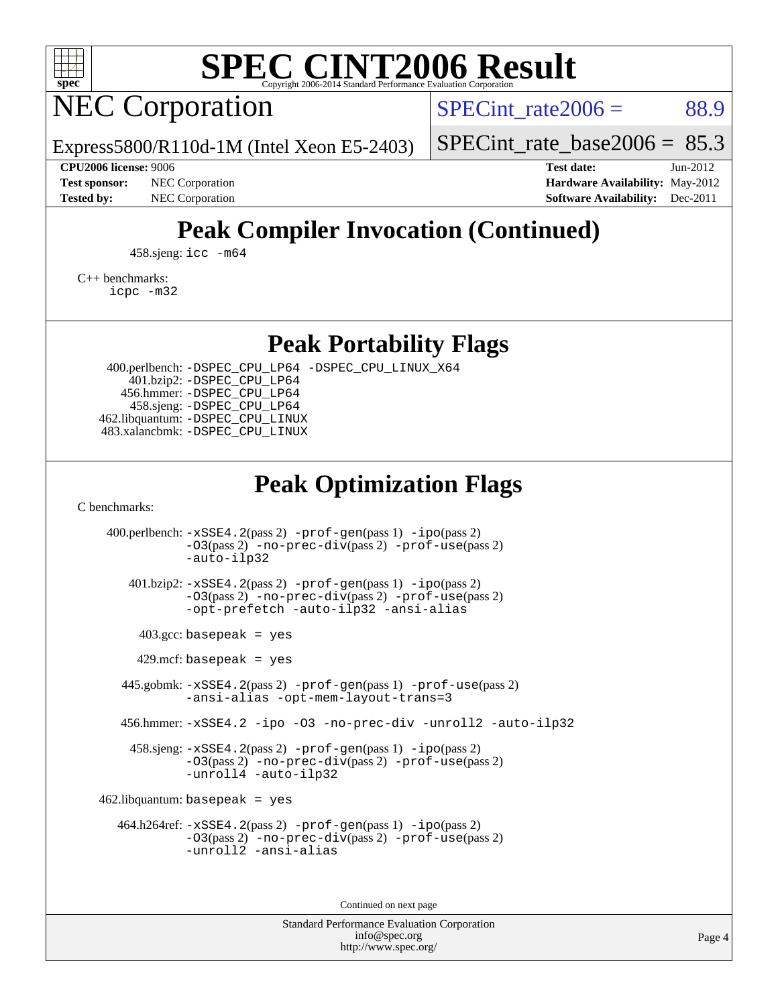

## NEC Corporation

SPECint rate $2006 = 88.9$ 

Express5800/R110d-1M (Intel Xeon E5-2403)

[SPECint\\_rate\\_base2006 =](http://www.spec.org/auto/cpu2006/Docs/result-fields.html#SPECintratebase2006) 85.3

**[CPU2006 license:](http://www.spec.org/auto/cpu2006/Docs/result-fields.html#CPU2006license)** 9006 **[Test date:](http://www.spec.org/auto/cpu2006/Docs/result-fields.html#Testdate)** Jun-2012 **[Test sponsor:](http://www.spec.org/auto/cpu2006/Docs/result-fields.html#Testsponsor)** NEC Corporation **NEC Corporation [Hardware Availability:](http://www.spec.org/auto/cpu2006/Docs/result-fields.html#HardwareAvailability)** May-2012 **[Tested by:](http://www.spec.org/auto/cpu2006/Docs/result-fields.html#Testedby)** NEC Corporation **[Software Availability:](http://www.spec.org/auto/cpu2006/Docs/result-fields.html#SoftwareAvailability)** Dec-2011

### **[Peak Compiler Invocation \(Continued\)](http://www.spec.org/auto/cpu2006/Docs/result-fields.html#PeakCompilerInvocation)**

458.sjeng: [icc -m64](http://www.spec.org/cpu2006/results/res2012q3/cpu2006-20120701-23287.flags.html#user_peakCCLD458_sjeng_intel_icc_64bit_bda6cc9af1fdbb0edc3795bac97ada53)

[C++ benchmarks:](http://www.spec.org/auto/cpu2006/Docs/result-fields.html#CXXbenchmarks)

[icpc -m32](http://www.spec.org/cpu2006/results/res2012q3/cpu2006-20120701-23287.flags.html#user_CXXpeak_intel_icpc_4e5a5ef1a53fd332b3c49e69c3330699)

**[Peak Portability Flags](http://www.spec.org/auto/cpu2006/Docs/result-fields.html#PeakPortabilityFlags)**

 400.perlbench: [-DSPEC\\_CPU\\_LP64](http://www.spec.org/cpu2006/results/res2012q3/cpu2006-20120701-23287.flags.html#b400.perlbench_peakCPORTABILITY_DSPEC_CPU_LP64) [-DSPEC\\_CPU\\_LINUX\\_X64](http://www.spec.org/cpu2006/results/res2012q3/cpu2006-20120701-23287.flags.html#b400.perlbench_peakCPORTABILITY_DSPEC_CPU_LINUX_X64) 401.bzip2: [-DSPEC\\_CPU\\_LP64](http://www.spec.org/cpu2006/results/res2012q3/cpu2006-20120701-23287.flags.html#suite_peakCPORTABILITY401_bzip2_DSPEC_CPU_LP64) 456.hmmer: [-DSPEC\\_CPU\\_LP64](http://www.spec.org/cpu2006/results/res2012q3/cpu2006-20120701-23287.flags.html#suite_peakCPORTABILITY456_hmmer_DSPEC_CPU_LP64) 458.sjeng: [-DSPEC\\_CPU\\_LP64](http://www.spec.org/cpu2006/results/res2012q3/cpu2006-20120701-23287.flags.html#suite_peakCPORTABILITY458_sjeng_DSPEC_CPU_LP64) 462.libquantum: [-DSPEC\\_CPU\\_LINUX](http://www.spec.org/cpu2006/results/res2012q3/cpu2006-20120701-23287.flags.html#b462.libquantum_peakCPORTABILITY_DSPEC_CPU_LINUX) 483.xalancbmk: [-DSPEC\\_CPU\\_LINUX](http://www.spec.org/cpu2006/results/res2012q3/cpu2006-20120701-23287.flags.html#b483.xalancbmk_peakCXXPORTABILITY_DSPEC_CPU_LINUX)

### **[Peak Optimization Flags](http://www.spec.org/auto/cpu2006/Docs/result-fields.html#PeakOptimizationFlags)**

[C benchmarks](http://www.spec.org/auto/cpu2006/Docs/result-fields.html#Cbenchmarks):

 400.perlbench: [-xSSE4.2](http://www.spec.org/cpu2006/results/res2012q3/cpu2006-20120701-23287.flags.html#user_peakPASS2_CFLAGSPASS2_LDCFLAGS400_perlbench_f-xSSE42_f91528193cf0b216347adb8b939d4107)(pass 2) [-prof-gen](http://www.spec.org/cpu2006/results/res2012q3/cpu2006-20120701-23287.flags.html#user_peakPASS1_CFLAGSPASS1_LDCFLAGS400_perlbench_prof_gen_e43856698f6ca7b7e442dfd80e94a8fc)(pass 1) [-ipo](http://www.spec.org/cpu2006/results/res2012q3/cpu2006-20120701-23287.flags.html#user_peakPASS2_CFLAGSPASS2_LDCFLAGS400_perlbench_f-ipo)(pass 2) [-O3](http://www.spec.org/cpu2006/results/res2012q3/cpu2006-20120701-23287.flags.html#user_peakPASS2_CFLAGSPASS2_LDCFLAGS400_perlbench_f-O3)(pass 2) [-no-prec-div](http://www.spec.org/cpu2006/results/res2012q3/cpu2006-20120701-23287.flags.html#user_peakPASS2_CFLAGSPASS2_LDCFLAGS400_perlbench_f-no-prec-div)(pass 2) [-prof-use](http://www.spec.org/cpu2006/results/res2012q3/cpu2006-20120701-23287.flags.html#user_peakPASS2_CFLAGSPASS2_LDCFLAGS400_perlbench_prof_use_bccf7792157ff70d64e32fe3e1250b55)(pass 2) [-auto-ilp32](http://www.spec.org/cpu2006/results/res2012q3/cpu2006-20120701-23287.flags.html#user_peakCOPTIMIZE400_perlbench_f-auto-ilp32) 401.bzip2: [-xSSE4.2](http://www.spec.org/cpu2006/results/res2012q3/cpu2006-20120701-23287.flags.html#user_peakPASS2_CFLAGSPASS2_LDCFLAGS401_bzip2_f-xSSE42_f91528193cf0b216347adb8b939d4107)(pass 2) [-prof-gen](http://www.spec.org/cpu2006/results/res2012q3/cpu2006-20120701-23287.flags.html#user_peakPASS1_CFLAGSPASS1_LDCFLAGS401_bzip2_prof_gen_e43856698f6ca7b7e442dfd80e94a8fc)(pass 1) [-ipo](http://www.spec.org/cpu2006/results/res2012q3/cpu2006-20120701-23287.flags.html#user_peakPASS2_CFLAGSPASS2_LDCFLAGS401_bzip2_f-ipo)(pass 2) [-O3](http://www.spec.org/cpu2006/results/res2012q3/cpu2006-20120701-23287.flags.html#user_peakPASS2_CFLAGSPASS2_LDCFLAGS401_bzip2_f-O3)(pass 2) [-no-prec-div](http://www.spec.org/cpu2006/results/res2012q3/cpu2006-20120701-23287.flags.html#user_peakPASS2_CFLAGSPASS2_LDCFLAGS401_bzip2_f-no-prec-div)(pass 2) [-prof-use](http://www.spec.org/cpu2006/results/res2012q3/cpu2006-20120701-23287.flags.html#user_peakPASS2_CFLAGSPASS2_LDCFLAGS401_bzip2_prof_use_bccf7792157ff70d64e32fe3e1250b55)(pass 2) [-opt-prefetch](http://www.spec.org/cpu2006/results/res2012q3/cpu2006-20120701-23287.flags.html#user_peakCOPTIMIZE401_bzip2_f-opt-prefetch) [-auto-ilp32](http://www.spec.org/cpu2006/results/res2012q3/cpu2006-20120701-23287.flags.html#user_peakCOPTIMIZE401_bzip2_f-auto-ilp32) [-ansi-alias](http://www.spec.org/cpu2006/results/res2012q3/cpu2006-20120701-23287.flags.html#user_peakCOPTIMIZE401_bzip2_f-ansi-alias)  $403.\text{gcc: basepeak}$  = yes  $429$ .mcf: basepeak = yes 445.gobmk: [-xSSE4.2](http://www.spec.org/cpu2006/results/res2012q3/cpu2006-20120701-23287.flags.html#user_peakPASS2_CFLAGSPASS2_LDCFLAGS445_gobmk_f-xSSE42_f91528193cf0b216347adb8b939d4107)(pass 2) [-prof-gen](http://www.spec.org/cpu2006/results/res2012q3/cpu2006-20120701-23287.flags.html#user_peakPASS1_CFLAGSPASS1_LDCFLAGS445_gobmk_prof_gen_e43856698f6ca7b7e442dfd80e94a8fc)(pass 1) [-prof-use](http://www.spec.org/cpu2006/results/res2012q3/cpu2006-20120701-23287.flags.html#user_peakPASS2_CFLAGSPASS2_LDCFLAGS445_gobmk_prof_use_bccf7792157ff70d64e32fe3e1250b55)(pass 2) [-ansi-alias](http://www.spec.org/cpu2006/results/res2012q3/cpu2006-20120701-23287.flags.html#user_peakCOPTIMIZE445_gobmk_f-ansi-alias) [-opt-mem-layout-trans=3](http://www.spec.org/cpu2006/results/res2012q3/cpu2006-20120701-23287.flags.html#user_peakCOPTIMIZE445_gobmk_f-opt-mem-layout-trans_a7b82ad4bd7abf52556d4961a2ae94d5) 456.hmmer: [-xSSE4.2](http://www.spec.org/cpu2006/results/res2012q3/cpu2006-20120701-23287.flags.html#user_peakCOPTIMIZE456_hmmer_f-xSSE42_f91528193cf0b216347adb8b939d4107) [-ipo](http://www.spec.org/cpu2006/results/res2012q3/cpu2006-20120701-23287.flags.html#user_peakCOPTIMIZE456_hmmer_f-ipo) [-O3](http://www.spec.org/cpu2006/results/res2012q3/cpu2006-20120701-23287.flags.html#user_peakCOPTIMIZE456_hmmer_f-O3) [-no-prec-div](http://www.spec.org/cpu2006/results/res2012q3/cpu2006-20120701-23287.flags.html#user_peakCOPTIMIZE456_hmmer_f-no-prec-div) [-unroll2](http://www.spec.org/cpu2006/results/res2012q3/cpu2006-20120701-23287.flags.html#user_peakCOPTIMIZE456_hmmer_f-unroll_784dae83bebfb236979b41d2422d7ec2) [-auto-ilp32](http://www.spec.org/cpu2006/results/res2012q3/cpu2006-20120701-23287.flags.html#user_peakCOPTIMIZE456_hmmer_f-auto-ilp32) 458.sjeng: [-xSSE4.2](http://www.spec.org/cpu2006/results/res2012q3/cpu2006-20120701-23287.flags.html#user_peakPASS2_CFLAGSPASS2_LDCFLAGS458_sjeng_f-xSSE42_f91528193cf0b216347adb8b939d4107)(pass 2) [-prof-gen](http://www.spec.org/cpu2006/results/res2012q3/cpu2006-20120701-23287.flags.html#user_peakPASS1_CFLAGSPASS1_LDCFLAGS458_sjeng_prof_gen_e43856698f6ca7b7e442dfd80e94a8fc)(pass 1) [-ipo](http://www.spec.org/cpu2006/results/res2012q3/cpu2006-20120701-23287.flags.html#user_peakPASS2_CFLAGSPASS2_LDCFLAGS458_sjeng_f-ipo)(pass 2) [-O3](http://www.spec.org/cpu2006/results/res2012q3/cpu2006-20120701-23287.flags.html#user_peakPASS2_CFLAGSPASS2_LDCFLAGS458_sjeng_f-O3)(pass 2) [-no-prec-div](http://www.spec.org/cpu2006/results/res2012q3/cpu2006-20120701-23287.flags.html#user_peakPASS2_CFLAGSPASS2_LDCFLAGS458_sjeng_f-no-prec-div)(pass 2) [-prof-use](http://www.spec.org/cpu2006/results/res2012q3/cpu2006-20120701-23287.flags.html#user_peakPASS2_CFLAGSPASS2_LDCFLAGS458_sjeng_prof_use_bccf7792157ff70d64e32fe3e1250b55)(pass 2) [-unroll4](http://www.spec.org/cpu2006/results/res2012q3/cpu2006-20120701-23287.flags.html#user_peakCOPTIMIZE458_sjeng_f-unroll_4e5e4ed65b7fd20bdcd365bec371b81f) [-auto-ilp32](http://www.spec.org/cpu2006/results/res2012q3/cpu2006-20120701-23287.flags.html#user_peakCOPTIMIZE458_sjeng_f-auto-ilp32)  $462$ .libquantum: basepeak = yes 464.h264ref: [-xSSE4.2](http://www.spec.org/cpu2006/results/res2012q3/cpu2006-20120701-23287.flags.html#user_peakPASS2_CFLAGSPASS2_LDCFLAGS464_h264ref_f-xSSE42_f91528193cf0b216347adb8b939d4107)(pass 2) [-prof-gen](http://www.spec.org/cpu2006/results/res2012q3/cpu2006-20120701-23287.flags.html#user_peakPASS1_CFLAGSPASS1_LDCFLAGS464_h264ref_prof_gen_e43856698f6ca7b7e442dfd80e94a8fc)(pass 1) [-ipo](http://www.spec.org/cpu2006/results/res2012q3/cpu2006-20120701-23287.flags.html#user_peakPASS2_CFLAGSPASS2_LDCFLAGS464_h264ref_f-ipo)(pass 2) [-O3](http://www.spec.org/cpu2006/results/res2012q3/cpu2006-20120701-23287.flags.html#user_peakPASS2_CFLAGSPASS2_LDCFLAGS464_h264ref_f-O3)(pass 2) [-no-prec-div](http://www.spec.org/cpu2006/results/res2012q3/cpu2006-20120701-23287.flags.html#user_peakPASS2_CFLAGSPASS2_LDCFLAGS464_h264ref_f-no-prec-div)(pass 2) [-prof-use](http://www.spec.org/cpu2006/results/res2012q3/cpu2006-20120701-23287.flags.html#user_peakPASS2_CFLAGSPASS2_LDCFLAGS464_h264ref_prof_use_bccf7792157ff70d64e32fe3e1250b55)(pass 2) [-unroll2](http://www.spec.org/cpu2006/results/res2012q3/cpu2006-20120701-23287.flags.html#user_peakCOPTIMIZE464_h264ref_f-unroll_784dae83bebfb236979b41d2422d7ec2) [-ansi-alias](http://www.spec.org/cpu2006/results/res2012q3/cpu2006-20120701-23287.flags.html#user_peakCOPTIMIZE464_h264ref_f-ansi-alias)

Continued on next page